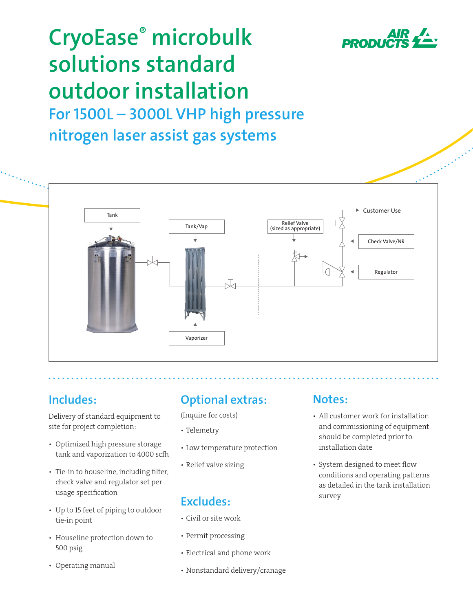

# **CryoEase® microbulk solutions standard outdoor installation For 1500L – 3000L VHP high pressure nitrogen laser assist gas systems**



# **Includes:**

Delivery of standard equipment to site for project completion:

- Optimized high pressure storage tank and vaporization to 4000 scfh
- Tie-in to houseline, including filter, check valve and regulator set per usage specification
- Up to 15 feet of piping to outdoor tie-in point
- Houseline protection down to 500 psig
- Operating manual

# **Optional extras:**

(Inquire for costs)

- Telemetry
- • Low temperature protection
- Relief valve sizing

# **Excludes:**

- • Civil or site work
- Permit processing
- • Electrical and phone work
- Nonstandard delivery/cranage

## **Notes:**

- All customer work for installation and commissioning of equipment should be completed prior to installation date
- System designed to meet flow conditions and operating patterns as detailed in the tank installation survey